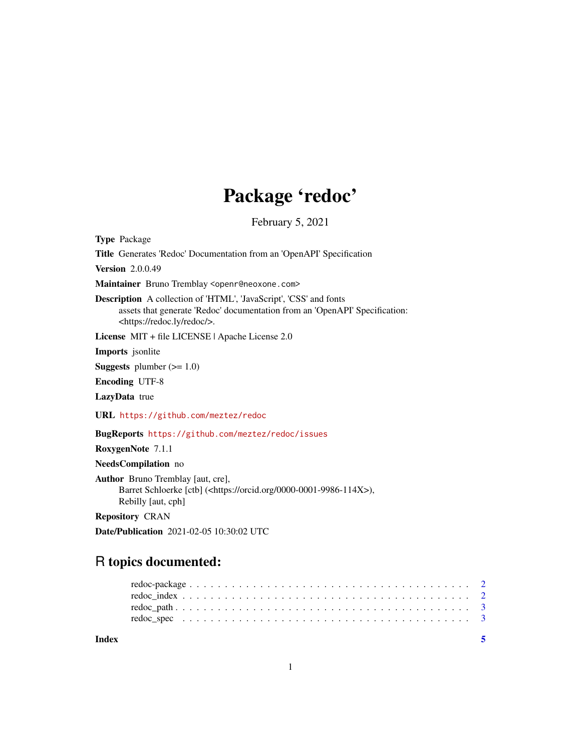## Package 'redoc'

February 5, 2021

Type Package

Title Generates 'Redoc' Documentation from an 'OpenAPI' Specification

Version 2.0.0.49

Maintainer Bruno Tremblay <openr@neoxone.com>

Description A collection of 'HTML', 'JavaScript', 'CSS' and fonts assets that generate 'Redoc' documentation from an 'OpenAPI' Specification: <https://redoc.ly/redoc/>.

License MIT + file LICENSE | Apache License 2.0

Imports jsonlite

**Suggests** plumber  $(>= 1.0)$ 

Encoding UTF-8

LazyData true

URL <https://github.com/meztez/redoc>

BugReports <https://github.com/meztez/redoc/issues>

RoxygenNote 7.1.1

NeedsCompilation no

Author Bruno Tremblay [aut, cre], Barret Schloerke [ctb] (<https://orcid.org/0000-0001-9986-114X>), Rebilly [aut, cph]

Repository CRAN

Date/Publication 2021-02-05 10:30:02 UTC

### R topics documented:

| Index |  |
|-------|--|
|       |  |
|       |  |
|       |  |
|       |  |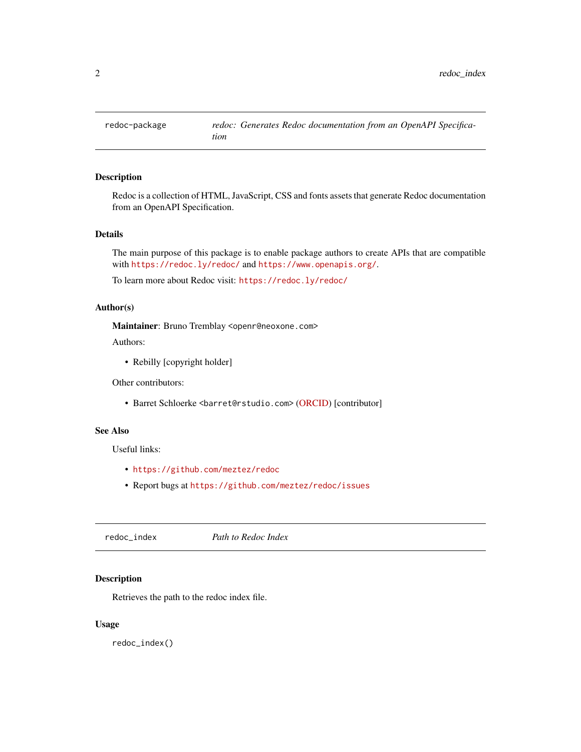<span id="page-1-0"></span>

#### Description

Redoc is a collection of HTML, JavaScript, CSS and fonts assets that generate Redoc documentation from an OpenAPI Specification.

#### Details

The main purpose of this package is to enable package authors to create APIs that are compatible with <https://redoc.ly/redoc/> and <https://www.openapis.org/>.

To learn more about Redoc visit: <https://redoc.ly/redoc/>

#### Author(s)

Maintainer: Bruno Tremblay <openr@neoxone.com>

#### Authors:

• Rebilly [copyright holder]

Other contributors:

• Barret Schloerke <br/>barret@rstudio.com> [\(ORCID\)](https://orcid.org/0000-0001-9986-114X) [contributor]

#### See Also

Useful links:

- <https://github.com/meztez/redoc>
- Report bugs at <https://github.com/meztez/redoc/issues>

<span id="page-1-1"></span>redoc\_index *Path to Redoc Index*

#### Description

Retrieves the path to the redoc index file.

#### Usage

redoc\_index()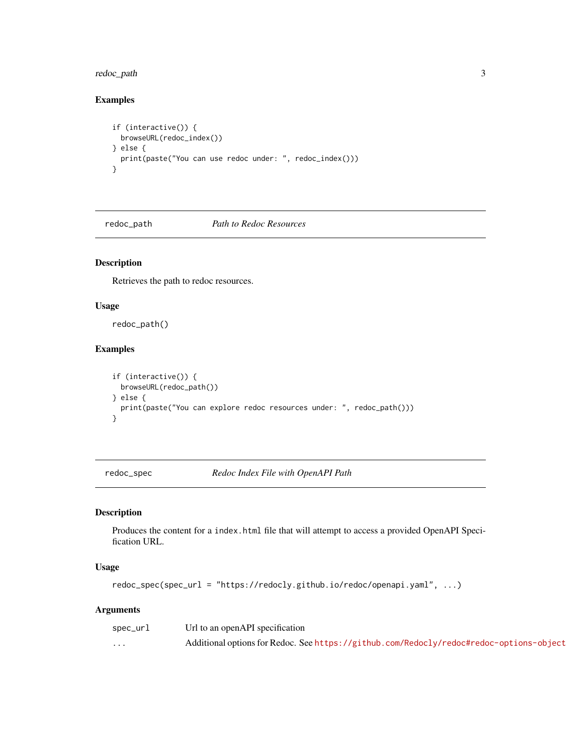#### <span id="page-2-0"></span>redoc\_path 3

#### Examples

```
if (interactive()) {
  browseURL(redoc_index())
} else {
  print(paste("You can use redoc under: ", redoc_index()))
}
```
redoc\_path *Path to Redoc Resources*

#### Description

Retrieves the path to redoc resources.

#### Usage

redoc\_path()

#### Examples

```
if (interactive()) {
  browseURL(redoc_path())
} else {
  print(paste("You can explore redoc resources under: ", redoc_path()))
}
```
redoc\_spec *Redoc Index File with OpenAPI Path*

#### Description

Produces the content for a index.html file that will attempt to access a provided OpenAPI Specification URL.

#### Usage

redoc\_spec(spec\_url = "https://redocly.github.io/redoc/openapi.yaml", ...)

#### Arguments

| spec_url | Url to an openAPI specification                                                         |
|----------|-----------------------------------------------------------------------------------------|
| $\cdots$ | Additional options for Redoc. See https://github.com/Redocly/redoc#redoc-options-object |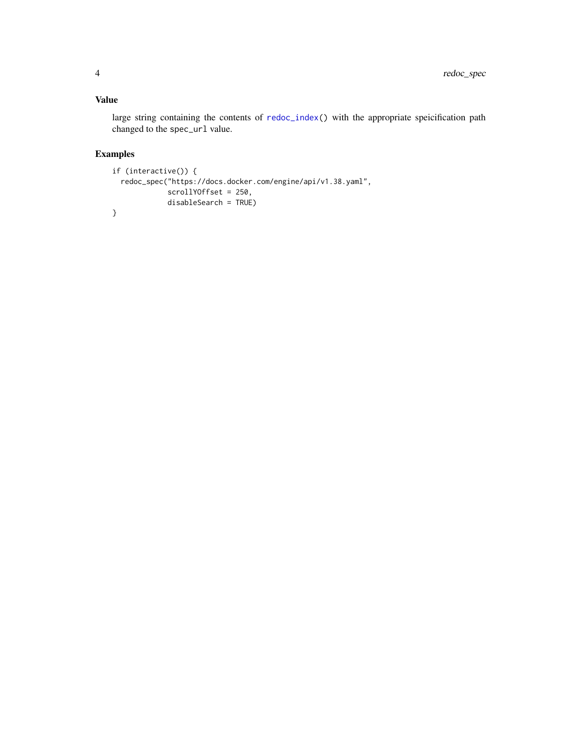#### <span id="page-3-0"></span>Value

large string containing the contents of [redoc\\_index\(](#page-1-1)) with the appropriate speicification path changed to the spec\_url value.

#### Examples

```
if (interactive()) {
  redoc_spec("https://docs.docker.com/engine/api/v1.38.yaml",
            scrollYOffset = 250,
            disableSearch = TRUE)
}
```